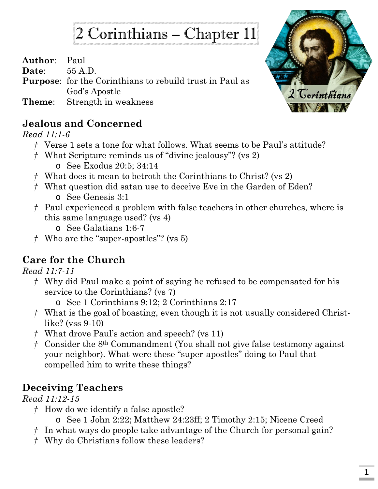# 2 Corinthians – Chapter 11

**Author**: Paul

**Date**: 55 A.D.

**Purpose**: for the Corinthians to rebuild trust in Paul as God's Apostle

**Theme**: Strength in weakness

#### **Jealous and Concerned**

*Read 11:1-6*

- *†* Verse 1 sets a tone for what follows. What seems to be Paul's attitude?
- *†* What Scripture reminds us of "divine jealousy"? (vs 2) o See Exodus 20:5; 34:14
- *†* What does it mean to betroth the Corinthians to Christ? (vs 2)
- *†* What question did satan use to deceive Eve in the Garden of Eden? o See Genesis 3:1
- *†* Paul experienced a problem with false teachers in other churches, where is this same language used? (vs 4)
	- o See Galatians 1:6-7
- *†* Who are the "super-apostles"? (vs 5)

# **Care for the Church**

*Read 11:7-11*

- *†* Why did Paul make a point of saying he refused to be compensated for his service to the Corinthians? (vs 7)
	- o See 1 Corinthians 9:12; 2 Corinthians 2:17
- *†* What is the goal of boasting, even though it is not usually considered Christlike? (vss 9-10)
- *†* What drove Paul's action and speech? (vs 11)
- *†* Consider the 8th Commandment (You shall not give false testimony against your neighbor). What were these "super-apostles" doing to Paul that compelled him to write these things?

## **Deceiving Teachers**

*Read 11:12-15*

- *†* How do we identify a false apostle?
	- o See 1 John 2:22; Matthew 24:23ff; 2 Timothy 2:15; Nicene Creed
- *†* In what ways do people take advantage of the Church for personal gain?
- *†* Why do Christians follow these leaders?